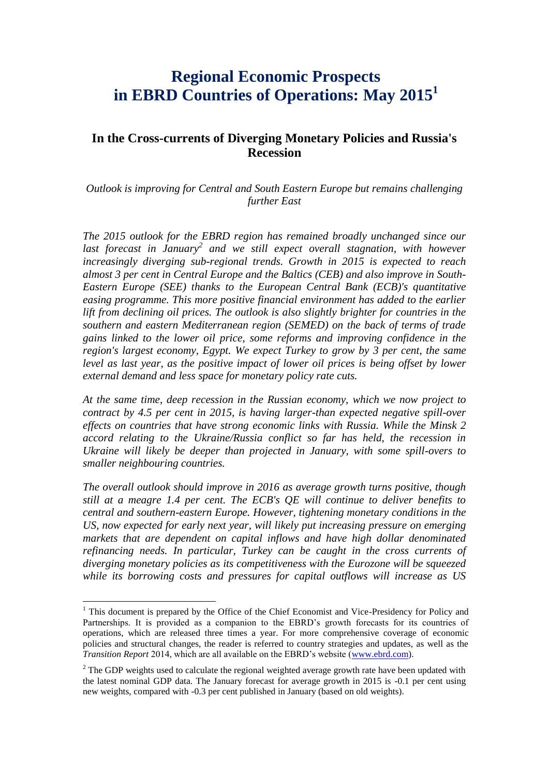# **Regional Economic Prospects in EBRD Countries of Operations: May 2015<sup>1</sup>**

# **In the Cross-currents of Diverging Monetary Policies and Russia's Recession**

*Outlook is improving for Central and South Eastern Europe but remains challenging further East* 

*The 2015 outlook for the EBRD region has remained broadly unchanged since our*  last forecast in January<sup>2</sup> and we still expect overall stagnation, with however *increasingly diverging sub-regional trends. Growth in 2015 is expected to reach almost 3 per cent in Central Europe and the Baltics (CEB) and also improve in South-Eastern Europe (SEE) thanks to the European Central Bank (ECB)'s quantitative easing programme. This more positive financial environment has added to the earlier lift from declining oil prices. The outlook is also slightly brighter for countries in the southern and eastern Mediterranean region (SEMED) on the back of terms of trade gains linked to the lower oil price, some reforms and improving confidence in the region's largest economy, Egypt. We expect Turkey to grow by 3 per cent, the same level as last year, as the positive impact of lower oil prices is being offset by lower external demand and less space for monetary policy rate cuts.*

*At the same time, deep recession in the Russian economy, which we now project to contract by 4.5 per cent in 2015, is having larger-than expected negative spill-over effects on countries that have strong economic links with Russia. While the Minsk 2 accord relating to the Ukraine/Russia conflict so far has held, the recession in Ukraine will likely be deeper than projected in January, with some spill-overs to smaller neighbouring countries.*

*The overall outlook should improve in 2016 as average growth turns positive, though still at a meagre 1.4 per cent. The ECB's QE will continue to deliver benefits to central and southern-eastern Europe. However, tightening monetary conditions in the US, now expected for early next year, will likely put increasing pressure on emerging markets that are dependent on capital inflows and have high dollar denominated refinancing needs. In particular, Turkey can be caught in the cross currents of diverging monetary policies as its competitiveness with the Eurozone will be squeezed while its borrowing costs and pressures for capital outflows will increase as US* 

 $\overline{a}$ 

<sup>&</sup>lt;sup>1</sup> This document is prepared by the Office of the Chief Economist and Vice-Presidency for Policy and Partnerships. It is provided as a companion to the EBRD's growth forecasts for its countries of operations, which are released three times a year. For more comprehensive coverage of economic policies and structural changes, the reader is referred to country strategies and updates, as well as the *Transition Report* 2014, which are all available on the EBRD's website [\(www.ebrd.com\)](http://www.ebrd.com/).

 $2$  The GDP weights used to calculate the regional weighted average growth rate have been updated with the latest nominal GDP data. The January forecast for average growth in 2015 is -0.1 per cent using new weights, compared with -0.3 per cent published in January (based on old weights).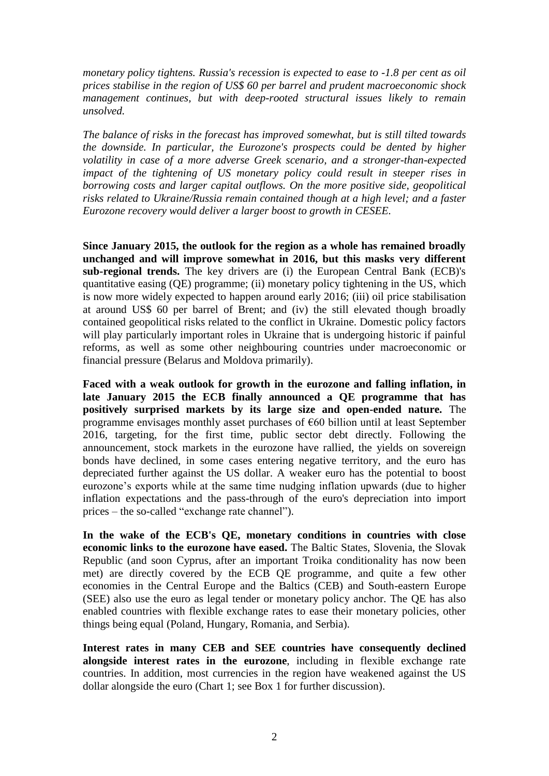*monetary policy tightens. Russia's recession is expected to ease to -1.8 per cent as oil prices stabilise in the region of US\$ 60 per barrel and prudent macroeconomic shock management continues, but with deep-rooted structural issues likely to remain unsolved.* 

*The balance of risks in the forecast has improved somewhat, but is still tilted towards the downside. In particular, the Eurozone's prospects could be dented by higher volatility in case of a more adverse Greek scenario, and a stronger-than-expected impact of the tightening of US monetary policy could result in steeper rises in borrowing costs and larger capital outflows. On the more positive side, geopolitical risks related to Ukraine/Russia remain contained though at a high level; and a faster Eurozone recovery would deliver a larger boost to growth in CESEE.*

**Since January 2015, the outlook for the region as a whole has remained broadly unchanged and will improve somewhat in 2016, but this masks very different sub-regional trends.** The key drivers are (i) the European Central Bank (ECB)'s quantitative easing (QE) programme; (ii) monetary policy tightening in the US, which is now more widely expected to happen around early 2016; (iii) oil price stabilisation at around US\$ 60 per barrel of Brent; and (iv) the still elevated though broadly contained geopolitical risks related to the conflict in Ukraine. Domestic policy factors will play particularly important roles in Ukraine that is undergoing historic if painful reforms, as well as some other neighbouring countries under macroeconomic or financial pressure (Belarus and Moldova primarily).

**Faced with a weak outlook for growth in the eurozone and falling inflation, in late January 2015 the ECB finally announced a QE programme that has positively surprised markets by its large size and open-ended nature.** The programme envisages monthly asset purchases of €60 billion until at least September 2016, targeting, for the first time, public sector debt directly. Following the announcement, stock markets in the eurozone have rallied, the yields on sovereign bonds have declined, in some cases entering negative territory, and the euro has depreciated further against the US dollar. A weaker euro has the potential to boost eurozone's exports while at the same time nudging inflation upwards (due to higher inflation expectations and the pass-through of the euro's depreciation into import prices – the so-called "exchange rate channel").

**In the wake of the ECB's QE, monetary conditions in countries with close economic links to the eurozone have eased.** The Baltic States, Slovenia, the Slovak Republic (and soon Cyprus, after an important Troika conditionality has now been met) are directly covered by the ECB QE programme, and quite a few other economies in the Central Europe and the Baltics (CEB) and South-eastern Europe (SEE) also use the euro as legal tender or monetary policy anchor. The QE has also enabled countries with flexible exchange rates to ease their monetary policies, other things being equal (Poland, Hungary, Romania, and Serbia).

**Interest rates in many CEB and SEE countries have consequently declined alongside interest rates in the eurozone**, including in flexible exchange rate countries. In addition, most currencies in the region have weakened against the US dollar alongside the euro (Chart 1; see Box 1 for further discussion).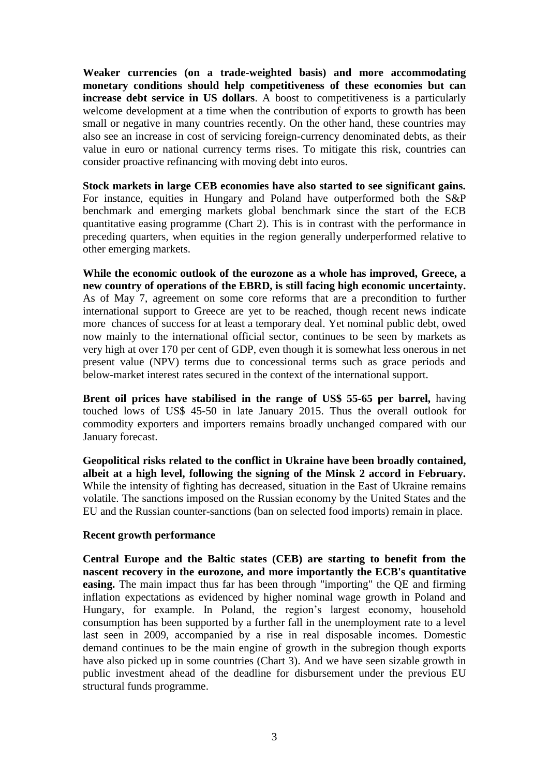**Weaker currencies (on a trade-weighted basis) and more accommodating monetary conditions should help competitiveness of these economies but can increase debt service in US dollars.** A boost to competitiveness is a particularly welcome development at a time when the contribution of exports to growth has been small or negative in many countries recently. On the other hand, these countries may also see an increase in cost of servicing foreign-currency denominated debts, as their value in euro or national currency terms rises. To mitigate this risk, countries can consider proactive refinancing with moving debt into euros.

**Stock markets in large CEB economies have also started to see significant gains.**  For instance, equities in Hungary and Poland have outperformed both the S&P benchmark and emerging markets global benchmark since the start of the ECB quantitative easing programme (Chart 2). This is in contrast with the performance in preceding quarters, when equities in the region generally underperformed relative to other emerging markets.

**While the economic outlook of the eurozone as a whole has improved, Greece, a new country of operations of the EBRD, is still facing high economic uncertainty.** As of May 7, agreement on some core reforms that are a precondition to further international support to Greece are yet to be reached, though recent news indicate more chances of success for at least a temporary deal. Yet nominal public debt, owed now mainly to the international official sector, continues to be seen by markets as very high at over 170 per cent of GDP, even though it is somewhat less onerous in net present value (NPV) terms due to concessional terms such as grace periods and below-market interest rates secured in the context of the international support.

**Brent oil prices have stabilised in the range of US\$ 55-65 per barrel,** having touched lows of US\$ 45-50 in late January 2015. Thus the overall outlook for commodity exporters and importers remains broadly unchanged compared with our January forecast.

**Geopolitical risks related to the conflict in Ukraine have been broadly contained, albeit at a high level, following the signing of the Minsk 2 accord in February.**  While the intensity of fighting has decreased, situation in the East of Ukraine remains volatile. The sanctions imposed on the Russian economy by the United States and the EU and the Russian counter-sanctions (ban on selected food imports) remain in place.

#### **Recent growth performance**

**Central Europe and the Baltic states (CEB) are starting to benefit from the nascent recovery in the eurozone, and more importantly the ECB's quantitative easing.** The main impact thus far has been through "importing" the QE and firming inflation expectations as evidenced by higher nominal wage growth in Poland and Hungary, for example. In Poland, the region's largest economy, household consumption has been supported by a further fall in the unemployment rate to a level last seen in 2009, accompanied by a rise in real disposable incomes. Domestic demand continues to be the main engine of growth in the subregion though exports have also picked up in some countries (Chart 3). And we have seen sizable growth in public investment ahead of the deadline for disbursement under the previous EU structural funds programme.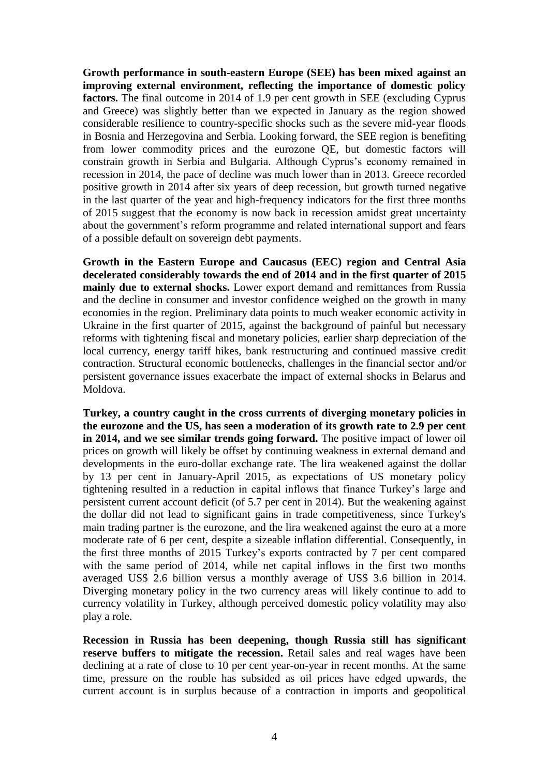**Growth performance in south-eastern Europe (SEE) has been mixed against an improving external environment, reflecting the importance of domestic policy factors.** The final outcome in 2014 of 1.9 per cent growth in SEE (excluding Cyprus and Greece) was slightly better than we expected in January as the region showed considerable resilience to country-specific shocks such as the severe mid-year floods in Bosnia and Herzegovina and Serbia. Looking forward, the SEE region is benefiting from lower commodity prices and the eurozone QE, but domestic factors will constrain growth in Serbia and Bulgaria. Although Cyprus's economy remained in recession in 2014, the pace of decline was much lower than in 2013. Greece recorded positive growth in 2014 after six years of deep recession, but growth turned negative in the last quarter of the year and high-frequency indicators for the first three months of 2015 suggest that the economy is now back in recession amidst great uncertainty about the government's reform programme and related international support and fears of a possible default on sovereign debt payments.

**Growth in the Eastern Europe and Caucasus (EEC) region and Central Asia decelerated considerably towards the end of 2014 and in the first quarter of 2015 mainly due to external shocks.** Lower export demand and remittances from Russia and the decline in consumer and investor confidence weighed on the growth in many economies in the region. Preliminary data points to much weaker economic activity in Ukraine in the first quarter of 2015, against the background of painful but necessary reforms with tightening fiscal and monetary policies, earlier sharp depreciation of the local currency, energy tariff hikes, bank restructuring and continued massive credit contraction. Structural economic bottlenecks, challenges in the financial sector and/or persistent governance issues exacerbate the impact of external shocks in Belarus and Moldova.

**Turkey, a country caught in the cross currents of diverging monetary policies in the eurozone and the US, has seen a moderation of its growth rate to 2.9 per cent in 2014, and we see similar trends going forward.** The positive impact of lower oil prices on growth will likely be offset by continuing weakness in external demand and developments in the euro-dollar exchange rate. The lira weakened against the dollar by 13 per cent in January-April 2015, as expectations of US monetary policy tightening resulted in a reduction in capital inflows that finance Turkey's large and persistent current account deficit (of 5.7 per cent in 2014). But the weakening against the dollar did not lead to significant gains in trade competitiveness, since Turkey's main trading partner is the eurozone, and the lira weakened against the euro at a more moderate rate of 6 per cent, despite a sizeable inflation differential. Consequently, in the first three months of 2015 Turkey's exports contracted by 7 per cent compared with the same period of 2014, while net capital inflows in the first two months averaged US\$ 2.6 billion versus a monthly average of US\$ 3.6 billion in 2014. Diverging monetary policy in the two currency areas will likely continue to add to currency volatility in Turkey, although perceived domestic policy volatility may also play a role.

**Recession in Russia has been deepening, though Russia still has significant reserve buffers to mitigate the recession.** Retail sales and real wages have been declining at a rate of close to 10 per cent year-on-year in recent months. At the same time, pressure on the rouble has subsided as oil prices have edged upwards, the current account is in surplus because of a contraction in imports and geopolitical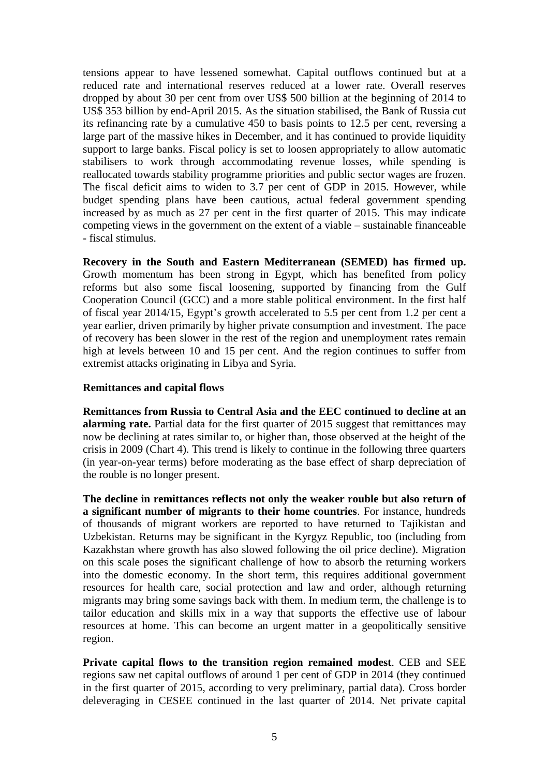tensions appear to have lessened somewhat. Capital outflows continued but at a reduced rate and international reserves reduced at a lower rate. Overall reserves dropped by about 30 per cent from over US\$ 500 billion at the beginning of 2014 to US\$ 353 billion by end-April 2015. As the situation stabilised, the Bank of Russia cut its refinancing rate by a cumulative 450 to basis points to 12.5 per cent, reversing a large part of the massive hikes in December, and it has continued to provide liquidity support to large banks. Fiscal policy is set to loosen appropriately to allow automatic stabilisers to work through accommodating revenue losses, while spending is reallocated towards stability programme priorities and public sector wages are frozen. The fiscal deficit aims to widen to 3.7 per cent of GDP in 2015. However, while budget spending plans have been cautious, actual federal government spending increased by as much as 27 per cent in the first quarter of 2015. This may indicate competing views in the government on the extent of a viable – sustainable financeable - fiscal stimulus.

**Recovery in the South and Eastern Mediterranean (SEMED) has firmed up.**  Growth momentum has been strong in Egypt, which has benefited from policy reforms but also some fiscal loosening, supported by financing from the Gulf Cooperation Council (GCC) and a more stable political environment. In the first half of fiscal year 2014/15, Egypt's growth accelerated to 5.5 per cent from 1.2 per cent a year earlier, driven primarily by higher private consumption and investment. The pace of recovery has been slower in the rest of the region and unemployment rates remain high at levels between 10 and 15 per cent. And the region continues to suffer from extremist attacks originating in Libya and Syria.

#### **Remittances and capital flows**

**Remittances from Russia to Central Asia and the EEC continued to decline at an alarming rate.** Partial data for the first quarter of 2015 suggest that remittances may now be declining at rates similar to, or higher than, those observed at the height of the crisis in 2009 (Chart 4). This trend is likely to continue in the following three quarters (in year-on-year terms) before moderating as the base effect of sharp depreciation of the rouble is no longer present.

**The decline in remittances reflects not only the weaker rouble but also return of a significant number of migrants to their home countries**. For instance, hundreds of thousands of migrant workers are reported to have returned to Tajikistan and Uzbekistan. Returns may be significant in the Kyrgyz Republic, too (including from Kazakhstan where growth has also slowed following the oil price decline). Migration on this scale poses the significant challenge of how to absorb the returning workers into the domestic economy. In the short term, this requires additional government resources for health care, social protection and law and order, although returning migrants may bring some savings back with them. In medium term, the challenge is to tailor education and skills mix in a way that supports the effective use of labour resources at home. This can become an urgent matter in a geopolitically sensitive region.

**Private capital flows to the transition region remained modest**. CEB and SEE regions saw net capital outflows of around 1 per cent of GDP in 2014 (they continued in the first quarter of 2015, according to very preliminary, partial data). Cross border deleveraging in CESEE continued in the last quarter of 2014. Net private capital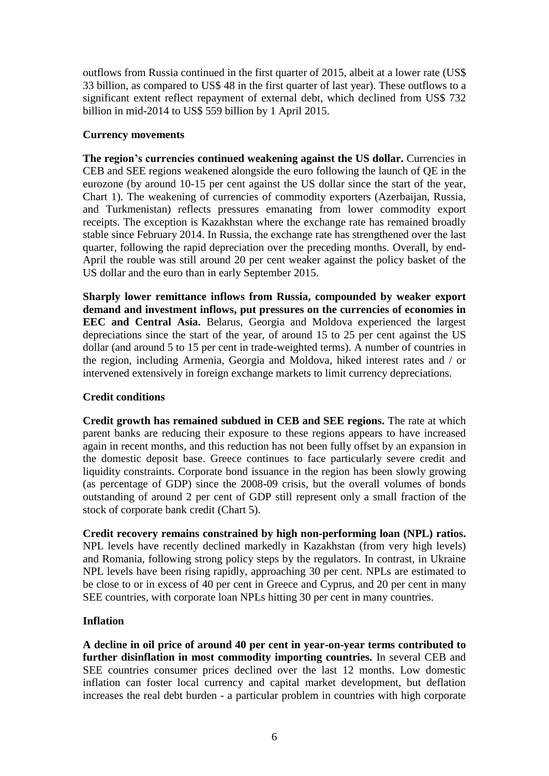outflows from Russia continued in the first quarter of 2015, albeit at a lower rate (US\$ 33 billion, as compared to US\$ 48 in the first quarter of last year). These outflows to a significant extent reflect repayment of external debt, which declined from US\$ 732 billion in mid-2014 to US\$ 559 billion by 1 April 2015.

#### **Currency movements**

**The region's currencies continued weakening against the US dollar.** Currencies in CEB and SEE regions weakened alongside the euro following the launch of QE in the eurozone (by around 10-15 per cent against the US dollar since the start of the year, Chart 1). The weakening of currencies of commodity exporters (Azerbaijan, Russia, and Turkmenistan) reflects pressures emanating from lower commodity export receipts. The exception is Kazakhstan where the exchange rate has remained broadly stable since February 2014. In Russia, the exchange rate has strengthened over the last quarter, following the rapid depreciation over the preceding months. Overall, by end-April the rouble was still around 20 per cent weaker against the policy basket of the US dollar and the euro than in early September 2015.

**Sharply lower remittance inflows from Russia, compounded by weaker export demand and investment inflows, put pressures on the currencies of economies in EEC and Central Asia.** Belarus, Georgia and Moldova experienced the largest depreciations since the start of the year, of around 15 to 25 per cent against the US dollar (and around 5 to 15 per cent in trade-weighted terms). A number of countries in the region, including Armenia, Georgia and Moldova, hiked interest rates and / or intervened extensively in foreign exchange markets to limit currency depreciations.

# **Credit conditions**

**Credit growth has remained subdued in CEB and SEE regions.** The rate at which parent banks are reducing their exposure to these regions appears to have increased again in recent months, and this reduction has not been fully offset by an expansion in the domestic deposit base. Greece continues to face particularly severe credit and liquidity constraints. Corporate bond issuance in the region has been slowly growing (as percentage of GDP) since the 2008-09 crisis, but the overall volumes of bonds outstanding of around 2 per cent of GDP still represent only a small fraction of the stock of corporate bank credit (Chart 5).

**Credit recovery remains constrained by high non-performing loan (NPL) ratios.** NPL levels have recently declined markedly in Kazakhstan (from very high levels) and Romania, following strong policy steps by the regulators. In contrast, in Ukraine NPL levels have been rising rapidly, approaching 30 per cent. NPLs are estimated to be close to or in excess of 40 per cent in Greece and Cyprus, and 20 per cent in many SEE countries, with corporate loan NPLs hitting 30 per cent in many countries.

#### **Inflation**

**A decline in oil price of around 40 per cent in year-on-year terms contributed to further disinflation in most commodity importing countries.** In several CEB and SEE countries consumer prices declined over the last 12 months. Low domestic inflation can foster local currency and capital market development, but deflation increases the real debt burden - a particular problem in countries with high corporate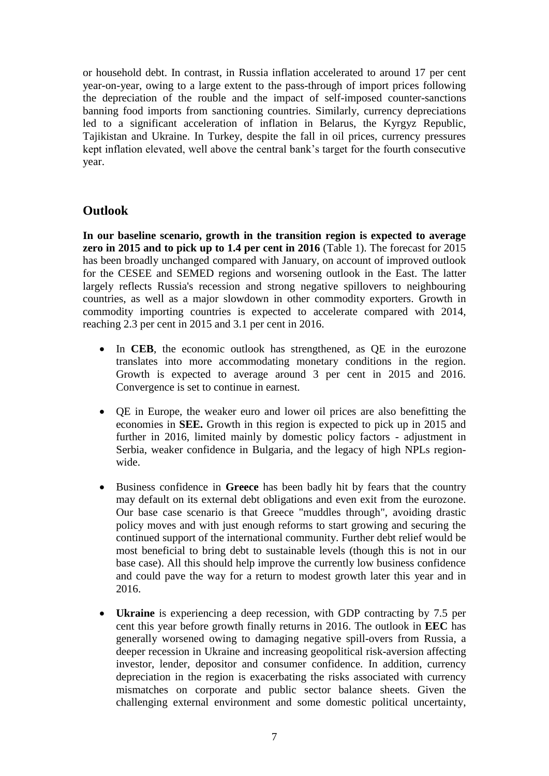or household debt. In contrast, in Russia inflation accelerated to around 17 per cent year-on-year, owing to a large extent to the pass-through of import prices following the depreciation of the rouble and the impact of self-imposed counter-sanctions banning food imports from sanctioning countries. Similarly, currency depreciations led to a significant acceleration of inflation in Belarus, the Kyrgyz Republic, Tajikistan and Ukraine. In Turkey, despite the fall in oil prices, currency pressures kept inflation elevated, well above the central bank's target for the fourth consecutive year.

# **Outlook**

**In our baseline scenario, growth in the transition region is expected to average zero in 2015 and to pick up to 1.4 per cent in 2016** (Table 1). The forecast for 2015 has been broadly unchanged compared with January, on account of improved outlook for the CESEE and SEMED regions and worsening outlook in the East. The latter largely reflects Russia's recession and strong negative spillovers to neighbouring countries, as well as a major slowdown in other commodity exporters. Growth in commodity importing countries is expected to accelerate compared with 2014, reaching 2.3 per cent in 2015 and 3.1 per cent in 2016.

- In **CEB**, the economic outlook has strengthened, as QE in the eurozone translates into more accommodating monetary conditions in the region. Growth is expected to average around 3 per cent in 2015 and 2016. Convergence is set to continue in earnest.
- QE in Europe, the weaker euro and lower oil prices are also benefitting the economies in **SEE.** Growth in this region is expected to pick up in 2015 and further in 2016, limited mainly by domestic policy factors - adjustment in Serbia, weaker confidence in Bulgaria, and the legacy of high NPLs regionwide.
- Business confidence in **Greece** has been badly hit by fears that the country may default on its external debt obligations and even exit from the eurozone. Our base case scenario is that Greece "muddles through", avoiding drastic policy moves and with just enough reforms to start growing and securing the continued support of the international community. Further debt relief would be most beneficial to bring debt to sustainable levels (though this is not in our base case). All this should help improve the currently low business confidence and could pave the way for a return to modest growth later this year and in 2016.
- **Ukraine** is experiencing a deep recession, with GDP contracting by 7.5 per cent this year before growth finally returns in 2016. The outlook in **EEC** has generally worsened owing to damaging negative spill-overs from Russia, a deeper recession in Ukraine and increasing geopolitical risk-aversion affecting investor, lender, depositor and consumer confidence. In addition, currency depreciation in the region is exacerbating the risks associated with currency mismatches on corporate and public sector balance sheets. Given the challenging external environment and some domestic political uncertainty,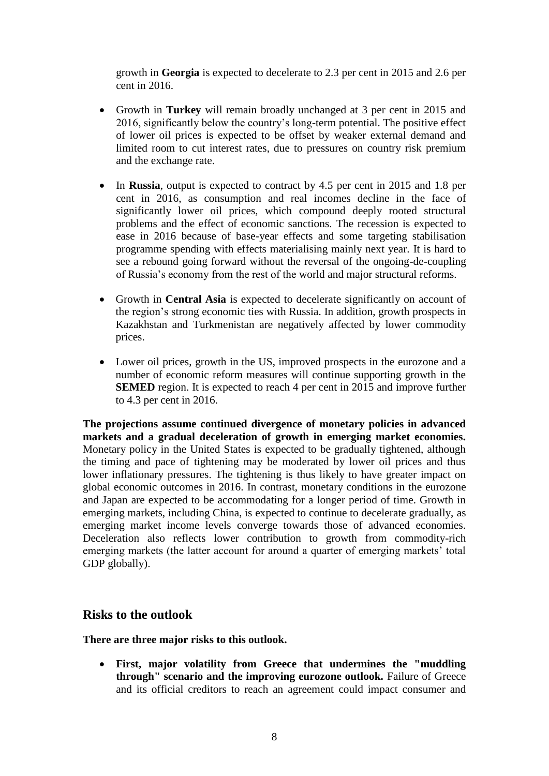growth in **Georgia** is expected to decelerate to 2.3 per cent in 2015 and 2.6 per cent in 2016.

- Growth in **Turkey** will remain broadly unchanged at 3 per cent in 2015 and 2016, significantly below the country's long-term potential. The positive effect of lower oil prices is expected to be offset by weaker external demand and limited room to cut interest rates, due to pressures on country risk premium and the exchange rate.
- In **Russia**, output is expected to contract by 4.5 per cent in 2015 and 1.8 per cent in 2016, as consumption and real incomes decline in the face of significantly lower oil prices, which compound deeply rooted structural problems and the effect of economic sanctions. The recession is expected to ease in 2016 because of base-year effects and some targeting stabilisation programme spending with effects materialising mainly next year. It is hard to see a rebound going forward without the reversal of the ongoing-de-coupling of Russia's economy from the rest of the world and major structural reforms.
- Growth in **Central Asia** is expected to decelerate significantly on account of the region's strong economic ties with Russia. In addition, growth prospects in Kazakhstan and Turkmenistan are negatively affected by lower commodity prices.
- Lower oil prices, growth in the US, improved prospects in the eurozone and a number of economic reform measures will continue supporting growth in the **SEMED** region. It is expected to reach 4 per cent in 2015 and improve further to 4.3 per cent in 2016.

**The projections assume continued divergence of monetary policies in advanced markets and a gradual deceleration of growth in emerging market economies.**  Monetary policy in the United States is expected to be gradually tightened, although the timing and pace of tightening may be moderated by lower oil prices and thus lower inflationary pressures. The tightening is thus likely to have greater impact on global economic outcomes in 2016. In contrast, monetary conditions in the eurozone and Japan are expected to be accommodating for a longer period of time. Growth in emerging markets, including China, is expected to continue to decelerate gradually, as emerging market income levels converge towards those of advanced economies. Deceleration also reflects lower contribution to growth from commodity-rich emerging markets (the latter account for around a quarter of emerging markets' total GDP globally).

# **Risks to the outlook**

**There are three major risks to this outlook.** 

 **First, major volatility from Greece that undermines the "muddling through" scenario and the improving eurozone outlook.** Failure of Greece and its official creditors to reach an agreement could impact consumer and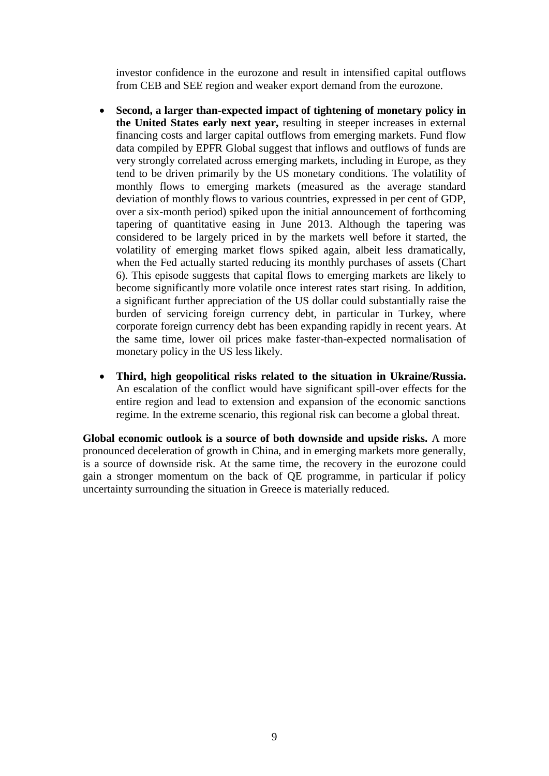investor confidence in the eurozone and result in intensified capital outflows from CEB and SEE region and weaker export demand from the eurozone.

- **Second, a larger than-expected impact of tightening of monetary policy in the United States early next year,** resulting in steeper increases in external financing costs and larger capital outflows from emerging markets. Fund flow data compiled by EPFR Global suggest that inflows and outflows of funds are very strongly correlated across emerging markets, including in Europe, as they tend to be driven primarily by the US monetary conditions. The volatility of monthly flows to emerging markets (measured as the average standard deviation of monthly flows to various countries, expressed in per cent of GDP, over a six-month period) spiked upon the initial announcement of forthcoming tapering of quantitative easing in June 2013. Although the tapering was considered to be largely priced in by the markets well before it started, the volatility of emerging market flows spiked again, albeit less dramatically, when the Fed actually started reducing its monthly purchases of assets (Chart 6). This episode suggests that capital flows to emerging markets are likely to become significantly more volatile once interest rates start rising. In addition, a significant further appreciation of the US dollar could substantially raise the burden of servicing foreign currency debt, in particular in Turkey, where corporate foreign currency debt has been expanding rapidly in recent years. At the same time, lower oil prices make faster-than-expected normalisation of monetary policy in the US less likely.
- **Third, high geopolitical risks related to the situation in Ukraine/Russia.**  An escalation of the conflict would have significant spill-over effects for the entire region and lead to extension and expansion of the economic sanctions regime. In the extreme scenario, this regional risk can become a global threat.

**Global economic outlook is a source of both downside and upside risks.** A more pronounced deceleration of growth in China, and in emerging markets more generally, is a source of downside risk. At the same time, the recovery in the eurozone could gain a stronger momentum on the back of QE programme, in particular if policy uncertainty surrounding the situation in Greece is materially reduced.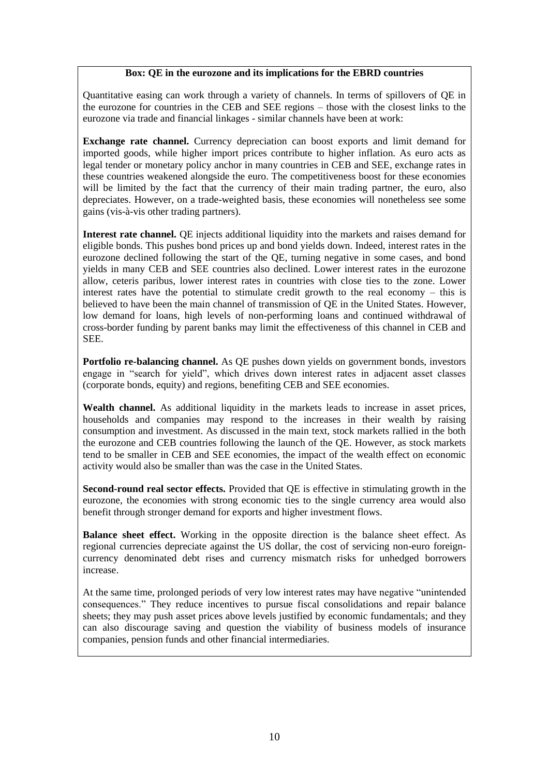#### **Box: QE in the eurozone and its implications for the EBRD countries**

Quantitative easing can work through a variety of channels. In terms of spillovers of QE in the eurozone for countries in the CEB and SEE regions – those with the closest links to the eurozone via trade and financial linkages - similar channels have been at work:

**Exchange rate channel.** Currency depreciation can boost exports and limit demand for imported goods, while higher import prices contribute to higher inflation. As euro acts as legal tender or monetary policy anchor in many countries in CEB and SEE, exchange rates in these countries weakened alongside the euro. The competitiveness boost for these economies will be limited by the fact that the currency of their main trading partner, the euro, also depreciates. However, on a trade-weighted basis, these economies will nonetheless see some gains (vis-à-vis other trading partners).

**Interest rate channel.** QE injects additional liquidity into the markets and raises demand for eligible bonds. This pushes bond prices up and bond yields down. Indeed, interest rates in the eurozone declined following the start of the QE, turning negative in some cases, and bond yields in many CEB and SEE countries also declined. Lower interest rates in the eurozone allow, ceteris paribus, lower interest rates in countries with close ties to the zone. Lower interest rates have the potential to stimulate credit growth to the real economy – this is believed to have been the main channel of transmission of QE in the United States. However, low demand for loans, high levels of non-performing loans and continued withdrawal of cross-border funding by parent banks may limit the effectiveness of this channel in CEB and SEE.

**Portfolio re-balancing channel.** As QE pushes down yields on government bonds, investors engage in "search for yield", which drives down interest rates in adjacent asset classes (corporate bonds, equity) and regions, benefiting CEB and SEE economies.

**Wealth channel.** As additional liquidity in the markets leads to increase in asset prices, households and companies may respond to the increases in their wealth by raising consumption and investment. As discussed in the main text, stock markets rallied in the both the eurozone and CEB countries following the launch of the QE. However, as stock markets tend to be smaller in CEB and SEE economies, the impact of the wealth effect on economic activity would also be smaller than was the case in the United States.

**Second-round real sector effects.** Provided that QE is effective in stimulating growth in the eurozone, the economies with strong economic ties to the single currency area would also benefit through stronger demand for exports and higher investment flows.

**Balance sheet effect.** Working in the opposite direction is the balance sheet effect. As regional currencies depreciate against the US dollar, the cost of servicing non-euro foreigncurrency denominated debt rises and currency mismatch risks for unhedged borrowers increase.

At the same time, prolonged periods of very low interest rates may have negative "unintended consequences." They reduce incentives to pursue fiscal consolidations and repair balance sheets; they may push asset prices above levels justified by economic fundamentals; and they can also discourage saving and question the viability of business models of insurance companies, pension funds and other financial intermediaries.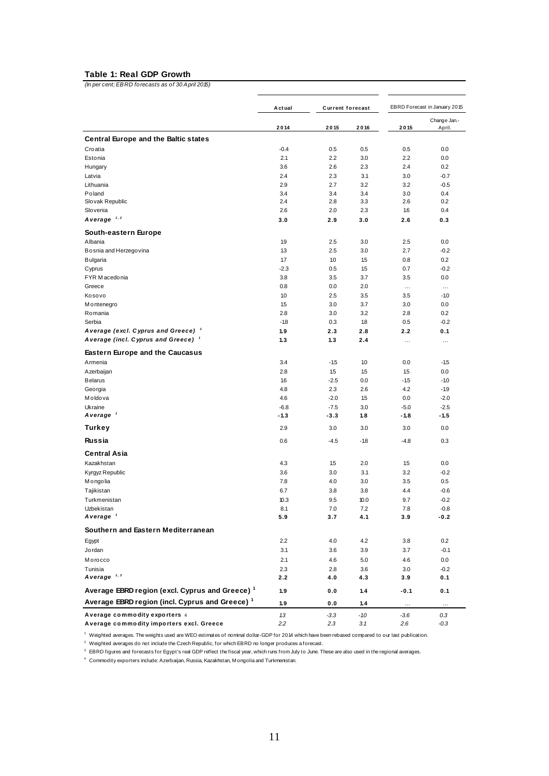#### **Table 1: Real GDP Growth**

*(In per cent; EBRD forecasts as of 30 April 2015)*

| (in per cent; EBRD forecasts as of 30 April 2015)                                                                                                           |            |                         |            |                               |                        |
|-------------------------------------------------------------------------------------------------------------------------------------------------------------|------------|-------------------------|------------|-------------------------------|------------------------|
|                                                                                                                                                             | Actual     | <b>Current forecast</b> |            | EBRD Forecast in January 2015 |                        |
|                                                                                                                                                             | 2014       | 2015                    | 2016       | 2015                          | Change Jan.-<br>April. |
| <b>Central Europe and the Baltic states</b>                                                                                                                 |            |                         |            |                               |                        |
| Croatia                                                                                                                                                     | $-0.4$     | 0.5                     | 0.5        | 0.5                           | 0.0                    |
| Estonia                                                                                                                                                     | 2.1        | 2.2                     | 3.0        | 2.2                           | 0.0                    |
| Hungary                                                                                                                                                     | 3.6        | 2.6                     | 2.3        | 2.4                           | 0.2                    |
| Latvia                                                                                                                                                      | 2.4        | 2.3                     | 3.1        | 3.0                           | $-0.7$                 |
| Lithuania                                                                                                                                                   | 2.9        | 2.7                     | 3.2        | 3.2                           | $-0.5$                 |
| Poland                                                                                                                                                      | 3.4        | 3.4<br>2.8              | 3.4        | 3.0                           | 0.4                    |
| Slovak Republic<br>Slovenia                                                                                                                                 | 2.4<br>2.6 | 2.0                     | 3.3<br>2.3 | 2.6<br>1.6                    | 0.2<br>0.4             |
| A verage $1,2$                                                                                                                                              | 3.0        | 2.9                     | 3.0        | 2.6                           | 0.3                    |
|                                                                                                                                                             |            |                         |            |                               |                        |
| South-eastern Europe<br>Albania                                                                                                                             | 1.9        | 2.5                     | 3.0        | 2.5                           | 0.0                    |
| Bosnia and Herzegovina                                                                                                                                      | 13         | 2.5                     | 3.0        | 2.7                           | $-0.2$                 |
| <b>Bulgaria</b>                                                                                                                                             | 1.7        | 1.0                     | 15         | 0.8                           | 0.2                    |
| Cyprus                                                                                                                                                      | $-2.3$     | 0.5                     | 15         | 0.7                           | $-0.2$                 |
| FYR Macedonia                                                                                                                                               | 3.8        | 3.5                     | 3.7        | 3.5                           | 0.0                    |
| Greece                                                                                                                                                      | 0.8        | 0.0                     | 2.0        | $\cdots$                      | $\cdots$               |
| Kosovo                                                                                                                                                      | 1.0        | 2.5                     | 3.5        | 3.5                           | $-1.0$                 |
| M ontenegro                                                                                                                                                 | 1.5        | 3.0                     | 3.7        | 3.0                           | 0.0                    |
| Romania                                                                                                                                                     | 2.8        | 3.0                     | 3.2        | 2.8                           | 0.2                    |
| Serbia                                                                                                                                                      | $-1.8$     | 0.3                     | 18         | 0.5                           | $-0.2$                 |
| Average (excl. Cyprus and Greece) <sup>1</sup>                                                                                                              | 1.9        | 2.3                     | 2.8        | 2.2                           | 0.1                    |
| A verage (incl. Cyprus and Greece) 1                                                                                                                        | 1.3        | 1.3                     | 2.4        | $\cdots$                      | $\cdots$               |
| <b>Eastern Europe and the Caucasus</b>                                                                                                                      |            |                         |            |                               |                        |
| Armenia                                                                                                                                                     | 3.4        | $-1.5$                  | 10         | 0.0                           | $-1.5$                 |
| Azerbaijan                                                                                                                                                  | 2.8        | 1.5                     | 15         | 1.5                           | 0.0                    |
| <b>Belarus</b>                                                                                                                                              | 1.6        | $-2.5$                  | 0.0        | $-1.5$                        | $-1.0$                 |
| Georgia                                                                                                                                                     | 4.8        | 2.3                     | 2.6        | 4.2                           | $-1.9$                 |
| Moldova                                                                                                                                                     | 4.6        | $-2.0$                  | 15         | 0.0                           | $-2.0$                 |
| Ukraine                                                                                                                                                     | $-6.8$     | $-7.5$                  | 3.0        | $-5.0$                        | $-2.5$                 |
| A verage '                                                                                                                                                  | -1.3       | -3.3                    | 1.8        | $-1.8$                        | $-1.5$                 |
| Turkey                                                                                                                                                      | 2.9        | 3.0                     | 3.0        | 3.0                           | 0.0                    |
| <b>Russia</b>                                                                                                                                               | 0.6        | $-4.5$                  | $-1.8$     | $-4.8$                        | 0.3                    |
| <b>Central Asia</b>                                                                                                                                         |            |                         |            |                               |                        |
| Kazakhstan                                                                                                                                                  | 4.3        | 15                      | 2.0        | 1.5                           | 0.0                    |
| Kyrgyz Republic                                                                                                                                             | 3.6        | 3.0                     | 3.1        | 3.2                           | $-0.2$                 |
| Mongolia                                                                                                                                                    | 7.8        | 4.0                     | 3.0        | 3.5                           | 0.5                    |
| Tajikistan                                                                                                                                                  | 6.7        | 3.8                     | 3.8        | 4.4                           | $-0.6$                 |
| Turkmenistan                                                                                                                                                | 10.3       | 9.5                     | 10.0       | 9.7                           | -0.2                   |
| Uzbekistan                                                                                                                                                  | 8.1        | 7.0                     | 7.2        | 7.8                           | $-0.8$                 |
| A verage $1$                                                                                                                                                | 5.9        | 3.7                     | 4.1        | 3.9                           | $-0.2$                 |
| Southern and Eastern Mediterranean                                                                                                                          |            |                         |            |                               |                        |
| Egypt                                                                                                                                                       | 2.2        | 4.0                     | 4.2        | 3.8                           | 0.2                    |
| Jordan                                                                                                                                                      | 3.1        | 3.6                     | 3.9        | 3.7                           | $-0.1$                 |
| Morocco                                                                                                                                                     | 2.1        | 4.6                     | 5.0        | 4.6                           | $0.0\,$                |
| Tunisia                                                                                                                                                     | 2.3        | 2.8                     | 3.6        | 3.0                           | $-0.2$                 |
| A verage $1,3$                                                                                                                                              | 2.2        | 4.0                     | 4.3        | 3.9                           | 0.1                    |
| Average EBRD region (excl. Cyprus and Greece) <sup>1</sup>                                                                                                  | 1.9        | 0.0                     | 1.4        | $-0.1$                        | 0.1                    |
| Average EBRD region (incl. Cyprus and Greece) <sup>1</sup>                                                                                                  | 1.9        | 0.0                     | 1.4        | $\cdots$                      | $\cdots$               |
| Average commodity exporters 4                                                                                                                               | 13         | $-3.3$                  | $-10$      | $-3.6$                        | 0.3                    |
| Average commodity importers excl. Greece                                                                                                                    | 2.2        | 2.3                     | 3.1        | 2.6                           | $-0.3$                 |
| <sup>1</sup> Weighted averages. The weights used are WEO estimates of nominal dollar-GDP for 2014 which have been rebased compared to our last publication. |            |                         |            |                               |                        |

<sup>1</sup> Weighted averages. The weights used are WEO estimates of nominal dollar-GDP for 2014 which have be<br><sup>2</sup> Weighted averages do not include the Czech Republic, for which EBRD no longer produces a forecast.

weighted averages. The weights used are wEO estimates of nominal dollar-GDP for 20 i4 which have been rebased compared to our last publication<br><sup>3</sup> BBRD figures and forecasts for Egypt's real GDP reflect the fiscal year, wh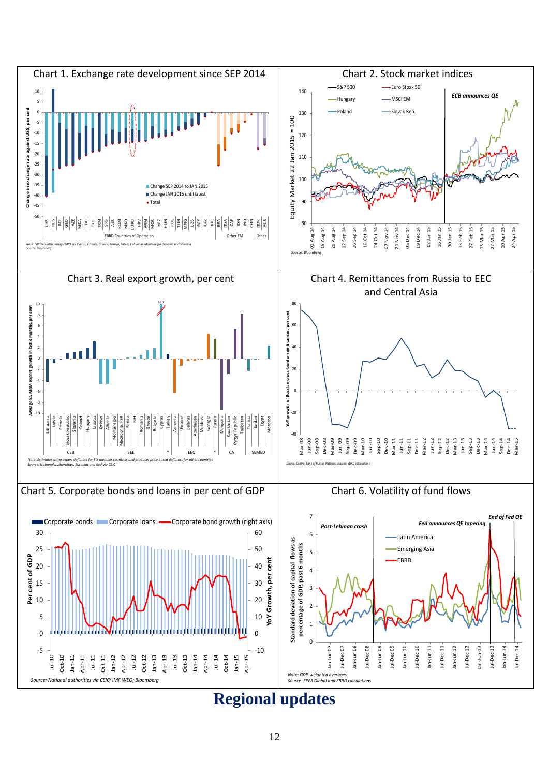

**Regional updates**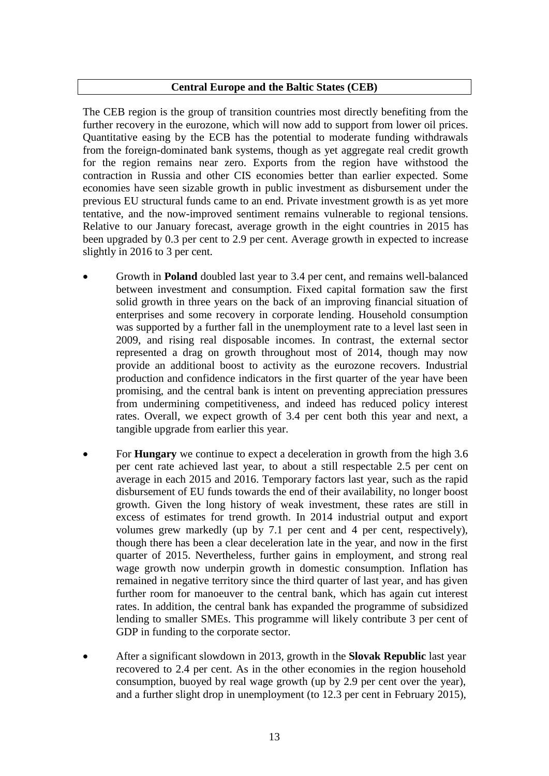#### **Central Europe and the Baltic States (CEB)**

The CEB region is the group of transition countries most directly benefiting from the further recovery in the eurozone, which will now add to support from lower oil prices. Quantitative easing by the ECB has the potential to moderate funding withdrawals from the foreign-dominated bank systems, though as yet aggregate real credit growth for the region remains near zero. Exports from the region have withstood the contraction in Russia and other CIS economies better than earlier expected. Some economies have seen sizable growth in public investment as disbursement under the previous EU structural funds came to an end. Private investment growth is as yet more tentative, and the now-improved sentiment remains vulnerable to regional tensions. Relative to our January forecast, average growth in the eight countries in 2015 has been upgraded by 0.3 per cent to 2.9 per cent. Average growth in expected to increase slightly in 2016 to 3 per cent.

- Growth in **Poland** doubled last year to 3.4 per cent, and remains well-balanced between investment and consumption. Fixed capital formation saw the first solid growth in three years on the back of an improving financial situation of enterprises and some recovery in corporate lending. Household consumption was supported by a further fall in the unemployment rate to a level last seen in 2009, and rising real disposable incomes. In contrast, the external sector represented a drag on growth throughout most of 2014, though may now provide an additional boost to activity as the eurozone recovers. Industrial production and confidence indicators in the first quarter of the year have been promising, and the central bank is intent on preventing appreciation pressures from undermining competitiveness, and indeed has reduced policy interest rates. Overall, we expect growth of 3.4 per cent both this year and next, a tangible upgrade from earlier this year.
- For **Hungary** we continue to expect a deceleration in growth from the high 3.6 per cent rate achieved last year, to about a still respectable 2.5 per cent on average in each 2015 and 2016. Temporary factors last year, such as the rapid disbursement of EU funds towards the end of their availability, no longer boost growth. Given the long history of weak investment, these rates are still in excess of estimates for trend growth. In 2014 industrial output and export volumes grew markedly (up by 7.1 per cent and 4 per cent, respectively), though there has been a clear deceleration late in the year, and now in the first quarter of 2015. Nevertheless, further gains in employment, and strong real wage growth now underpin growth in domestic consumption. Inflation has remained in negative territory since the third quarter of last year, and has given further room for manoeuver to the central bank, which has again cut interest rates. In addition, the central bank has expanded the programme of subsidized lending to smaller SMEs. This programme will likely contribute 3 per cent of GDP in funding to the corporate sector.
- After a significant slowdown in 2013, growth in the **Slovak Republic** last year recovered to 2.4 per cent. As in the other economies in the region household consumption, buoyed by real wage growth (up by 2.9 per cent over the year), and a further slight drop in unemployment (to 12.3 per cent in February 2015),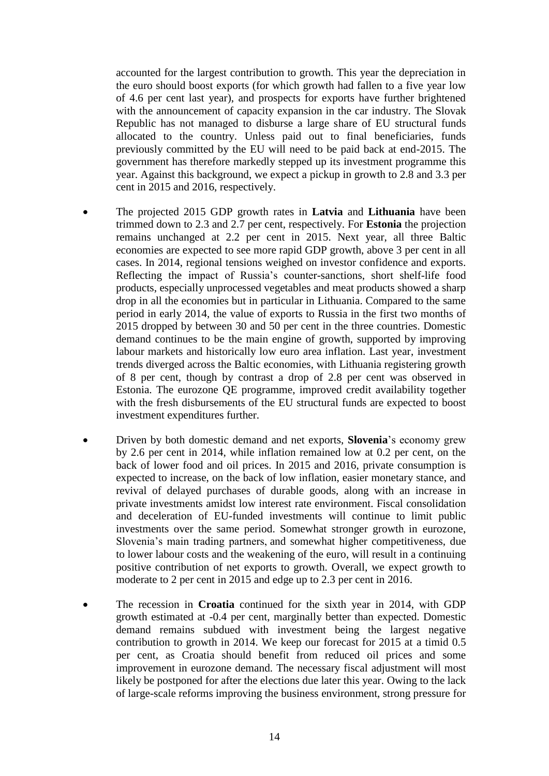accounted for the largest contribution to growth. This year the depreciation in the euro should boost exports (for which growth had fallen to a five year low of 4.6 per cent last year), and prospects for exports have further brightened with the announcement of capacity expansion in the car industry. The Slovak Republic has not managed to disburse a large share of EU structural funds allocated to the country. Unless paid out to final beneficiaries, funds previously committed by the EU will need to be paid back at end-2015. The government has therefore markedly stepped up its investment programme this year. Against this background, we expect a pickup in growth to 2.8 and 3.3 per cent in 2015 and 2016, respectively.

- The projected 2015 GDP growth rates in **Latvia** and **Lithuania** have been trimmed down to 2.3 and 2.7 per cent, respectively. For **Estonia** the projection remains unchanged at 2.2 per cent in 2015. Next year, all three Baltic economies are expected to see more rapid GDP growth, above 3 per cent in all cases. In 2014, regional tensions weighed on investor confidence and exports. Reflecting the impact of Russia's counter-sanctions, short shelf-life food products, especially unprocessed vegetables and meat products showed a sharp drop in all the economies but in particular in Lithuania. Compared to the same period in early 2014, the value of exports to Russia in the first two months of 2015 dropped by between 30 and 50 per cent in the three countries. Domestic demand continues to be the main engine of growth, supported by improving labour markets and historically low euro area inflation. Last year, investment trends diverged across the Baltic economies, with Lithuania registering growth of 8 per cent, though by contrast a drop of 2.8 per cent was observed in Estonia. The eurozone QE programme, improved credit availability together with the fresh disbursements of the EU structural funds are expected to boost investment expenditures further.
- Driven by both domestic demand and net exports, **Slovenia**'s economy grew by 2.6 per cent in 2014, while inflation remained low at 0.2 per cent, on the back of lower food and oil prices. In 2015 and 2016, private consumption is expected to increase, on the back of low inflation, easier monetary stance, and revival of delayed purchases of durable goods, along with an increase in private investments amidst low interest rate environment. Fiscal consolidation and deceleration of EU-funded investments will continue to limit public investments over the same period. Somewhat stronger growth in eurozone, Slovenia's main trading partners, and somewhat higher competitiveness, due to lower labour costs and the weakening of the euro, will result in a continuing positive contribution of net exports to growth. Overall, we expect growth to moderate to 2 per cent in 2015 and edge up to 2.3 per cent in 2016.
- The recession in **Croatia** continued for the sixth year in 2014, with GDP growth estimated at -0.4 per cent, marginally better than expected. Domestic demand remains subdued with investment being the largest negative contribution to growth in 2014. We keep our forecast for 2015 at a timid 0.5 per cent, as Croatia should benefit from reduced oil prices and some improvement in eurozone demand. The necessary fiscal adjustment will most likely be postponed for after the elections due later this year. Owing to the lack of large-scale reforms improving the business environment, strong pressure for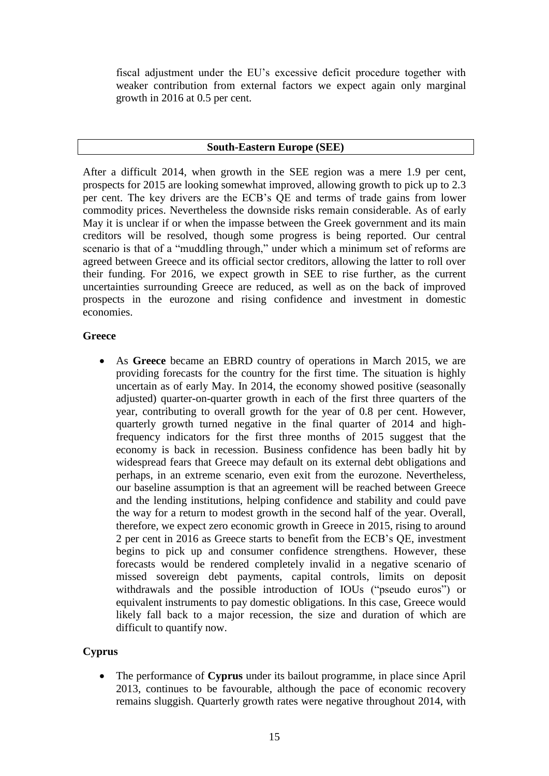fiscal adjustment under the EU's excessive deficit procedure together with weaker contribution from external factors we expect again only marginal growth in 2016 at 0.5 per cent.

#### **South-Eastern Europe (SEE)**

After a difficult 2014, when growth in the SEE region was a mere 1.9 per cent, prospects for 2015 are looking somewhat improved, allowing growth to pick up to 2.3 per cent. The key drivers are the ECB's QE and terms of trade gains from lower commodity prices. Nevertheless the downside risks remain considerable. As of early May it is unclear if or when the impasse between the Greek government and its main creditors will be resolved, though some progress is being reported. Our central scenario is that of a "muddling through," under which a minimum set of reforms are agreed between Greece and its official sector creditors, allowing the latter to roll over their funding. For 2016, we expect growth in SEE to rise further, as the current uncertainties surrounding Greece are reduced, as well as on the back of improved prospects in the eurozone and rising confidence and investment in domestic economies.

#### **Greece**

 As **Greece** became an EBRD country of operations in March 2015, we are providing forecasts for the country for the first time. The situation is highly uncertain as of early May. In 2014, the economy showed positive (seasonally adjusted) quarter-on-quarter growth in each of the first three quarters of the year, contributing to overall growth for the year of 0.8 per cent. However, quarterly growth turned negative in the final quarter of 2014 and highfrequency indicators for the first three months of 2015 suggest that the economy is back in recession. Business confidence has been badly hit by widespread fears that Greece may default on its external debt obligations and perhaps, in an extreme scenario, even exit from the eurozone. Nevertheless, our baseline assumption is that an agreement will be reached between Greece and the lending institutions, helping confidence and stability and could pave the way for a return to modest growth in the second half of the year. Overall, therefore, we expect zero economic growth in Greece in 2015, rising to around 2 per cent in 2016 as Greece starts to benefit from the ECB's QE, investment begins to pick up and consumer confidence strengthens. However, these forecasts would be rendered completely invalid in a negative scenario of missed sovereign debt payments, capital controls, limits on deposit withdrawals and the possible introduction of IOUs ("pseudo euros") or equivalent instruments to pay domestic obligations. In this case, Greece would likely fall back to a major recession, the size and duration of which are difficult to quantify now.

# **Cyprus**

 The performance of **Cyprus** under its bailout programme, in place since April 2013, continues to be favourable, although the pace of economic recovery remains sluggish. Quarterly growth rates were negative throughout 2014, with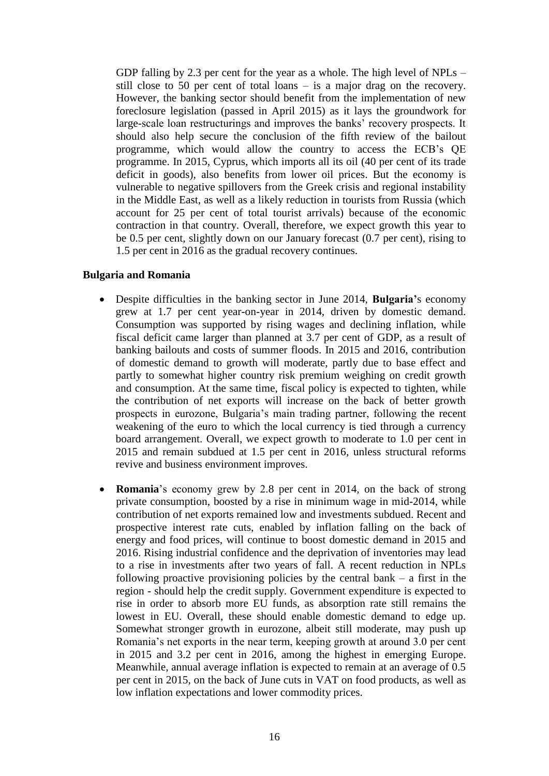GDP falling by 2.3 per cent for the year as a whole. The high level of NPLs – still close to 50 per cent of total loans – is a major drag on the recovery. However, the banking sector should benefit from the implementation of new foreclosure legislation (passed in April 2015) as it lays the groundwork for large-scale loan restructurings and improves the banks' recovery prospects. It should also help secure the conclusion of the fifth review of the bailout programme, which would allow the country to access the ECB's QE programme. In 2015, Cyprus, which imports all its oil (40 per cent of its trade deficit in goods), also benefits from lower oil prices. But the economy is vulnerable to negative spillovers from the Greek crisis and regional instability in the Middle East, as well as a likely reduction in tourists from Russia (which account for 25 per cent of total tourist arrivals) because of the economic contraction in that country. Overall, therefore, we expect growth this year to be 0.5 per cent, slightly down on our January forecast (0.7 per cent), rising to 1.5 per cent in 2016 as the gradual recovery continues.

#### **Bulgaria and Romania**

- Despite difficulties in the banking sector in June 2014, **Bulgaria'**s economy grew at 1.7 per cent year-on-year in 2014, driven by domestic demand. Consumption was supported by rising wages and declining inflation, while fiscal deficit came larger than planned at 3.7 per cent of GDP, as a result of banking bailouts and costs of summer floods. In 2015 and 2016, contribution of domestic demand to growth will moderate, partly due to base effect and partly to somewhat higher country risk premium weighing on credit growth and consumption. At the same time, fiscal policy is expected to tighten, while the contribution of net exports will increase on the back of better growth prospects in eurozone, Bulgaria's main trading partner, following the recent weakening of the euro to which the local currency is tied through a currency board arrangement. Overall, we expect growth to moderate to 1.0 per cent in 2015 and remain subdued at 1.5 per cent in 2016, unless structural reforms revive and business environment improves.
- **Romania**'s economy grew by 2.8 per cent in 2014, on the back of strong private consumption, boosted by a rise in minimum wage in mid-2014, while contribution of net exports remained low and investments subdued. Recent and prospective interest rate cuts, enabled by inflation falling on the back of energy and food prices, will continue to boost domestic demand in 2015 and 2016. Rising industrial confidence and the deprivation of inventories may lead to a rise in investments after two years of fall. A recent reduction in NPLs following proactive provisioning policies by the central bank  $-$  a first in the region - should help the credit supply. Government expenditure is expected to rise in order to absorb more EU funds, as absorption rate still remains the lowest in EU. Overall, these should enable domestic demand to edge up. Somewhat stronger growth in eurozone, albeit still moderate, may push up Romania's net exports in the near term, keeping growth at around 3.0 per cent in 2015 and 3.2 per cent in 2016, among the highest in emerging Europe. Meanwhile, annual average inflation is expected to remain at an average of 0.5 per cent in 2015, on the back of June cuts in VAT on food products, as well as low inflation expectations and lower commodity prices.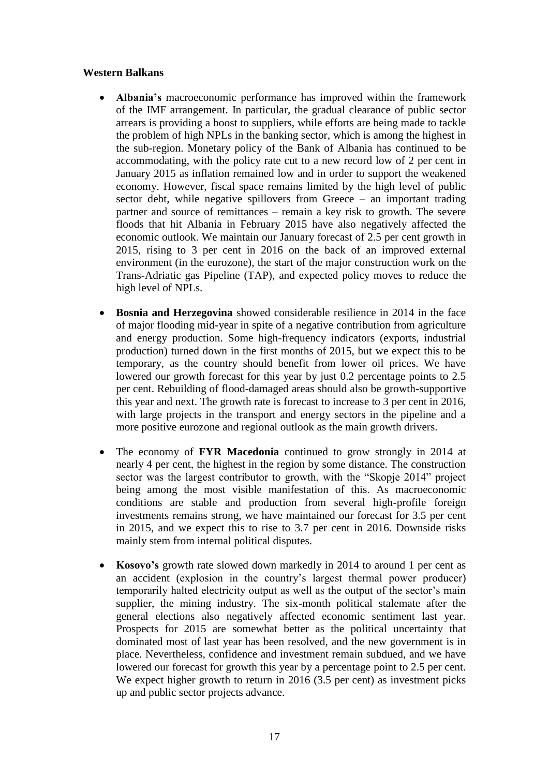#### **Western Balkans**

- **Albania's** macroeconomic performance has improved within the framework of the IMF arrangement. In particular, the gradual clearance of public sector arrears is providing a boost to suppliers, while efforts are being made to tackle the problem of high NPLs in the banking sector, which is among the highest in the sub-region. Monetary policy of the Bank of Albania has continued to be accommodating, with the policy rate cut to a new record low of 2 per cent in January 2015 as inflation remained low and in order to support the weakened economy. However, fiscal space remains limited by the high level of public sector debt, while negative spillovers from Greece – an important trading partner and source of remittances – remain a key risk to growth. The severe floods that hit Albania in February 2015 have also negatively affected the economic outlook. We maintain our January forecast of 2.5 per cent growth in 2015, rising to 3 per cent in 2016 on the back of an improved external environment (in the eurozone), the start of the major construction work on the Trans-Adriatic gas Pipeline (TAP), and expected policy moves to reduce the high level of NPLs.
- **Bosnia and Herzegovina** showed considerable resilience in 2014 in the face of major flooding mid-year in spite of a negative contribution from agriculture and energy production. Some high-frequency indicators (exports, industrial production) turned down in the first months of 2015, but we expect this to be temporary, as the country should benefit from lower oil prices. We have lowered our growth forecast for this year by just 0.2 percentage points to 2.5 per cent. Rebuilding of flood-damaged areas should also be growth-supportive this year and next. The growth rate is forecast to increase to 3 per cent in 2016, with large projects in the transport and energy sectors in the pipeline and a more positive eurozone and regional outlook as the main growth drivers.
- The economy of **FYR Macedonia** continued to grow strongly in 2014 at nearly 4 per cent, the highest in the region by some distance. The construction sector was the largest contributor to growth, with the "Skopje 2014" project being among the most visible manifestation of this. As macroeconomic conditions are stable and production from several high-profile foreign investments remains strong, we have maintained our forecast for 3.5 per cent in 2015, and we expect this to rise to 3.7 per cent in 2016. Downside risks mainly stem from internal political disputes.
- **Kosovo's** growth rate slowed down markedly in 2014 to around 1 per cent as an accident (explosion in the country's largest thermal power producer) temporarily halted electricity output as well as the output of the sector's main supplier, the mining industry. The six-month political stalemate after the general elections also negatively affected economic sentiment last year. Prospects for 2015 are somewhat better as the political uncertainty that dominated most of last year has been resolved, and the new government is in place. Nevertheless, confidence and investment remain subdued, and we have lowered our forecast for growth this year by a percentage point to 2.5 per cent. We expect higher growth to return in 2016 (3.5 per cent) as investment picks up and public sector projects advance.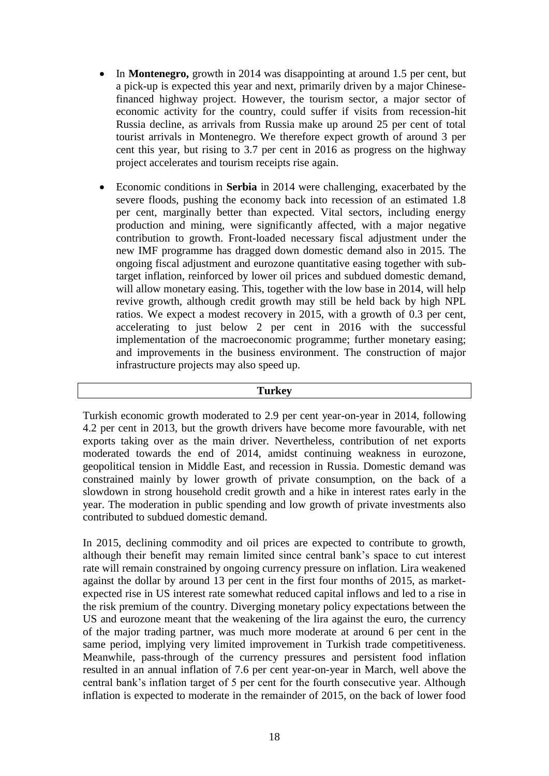- In **Montenegro,** growth in 2014 was disappointing at around 1.5 per cent, but a pick-up is expected this year and next, primarily driven by a major Chinesefinanced highway project. However, the tourism sector, a major sector of economic activity for the country, could suffer if visits from recession-hit Russia decline, as arrivals from Russia make up around 25 per cent of total tourist arrivals in Montenegro. We therefore expect growth of around 3 per cent this year, but rising to 3.7 per cent in 2016 as progress on the highway project accelerates and tourism receipts rise again.
- Economic conditions in **Serbia** in 2014 were challenging, exacerbated by the severe floods, pushing the economy back into recession of an estimated 1.8 per cent, marginally better than expected. Vital sectors, including energy production and mining, were significantly affected, with a major negative contribution to growth. Front-loaded necessary fiscal adjustment under the new IMF programme has dragged down domestic demand also in 2015. The ongoing fiscal adjustment and eurozone quantitative easing together with subtarget inflation, reinforced by lower oil prices and subdued domestic demand, will allow monetary easing. This, together with the low base in 2014, will help revive growth, although credit growth may still be held back by high NPL ratios. We expect a modest recovery in 2015, with a growth of 0.3 per cent, accelerating to just below 2 per cent in 2016 with the successful implementation of the macroeconomic programme; further monetary easing; and improvements in the business environment. The construction of major infrastructure projects may also speed up.

#### **Turkey**

Turkish economic growth moderated to 2.9 per cent year-on-year in 2014, following 4.2 per cent in 2013, but the growth drivers have become more favourable, with net exports taking over as the main driver. Nevertheless, contribution of net exports moderated towards the end of 2014, amidst continuing weakness in eurozone, geopolitical tension in Middle East, and recession in Russia. Domestic demand was constrained mainly by lower growth of private consumption, on the back of a slowdown in strong household credit growth and a hike in interest rates early in the year. The moderation in public spending and low growth of private investments also contributed to subdued domestic demand.

In 2015, declining commodity and oil prices are expected to contribute to growth, although their benefit may remain limited since central bank's space to cut interest rate will remain constrained by ongoing currency pressure on inflation. Lira weakened against the dollar by around 13 per cent in the first four months of 2015, as marketexpected rise in US interest rate somewhat reduced capital inflows and led to a rise in the risk premium of the country. Diverging monetary policy expectations between the US and eurozone meant that the weakening of the lira against the euro, the currency of the major trading partner, was much more moderate at around 6 per cent in the same period, implying very limited improvement in Turkish trade competitiveness. Meanwhile, pass-through of the currency pressures and persistent food inflation resulted in an annual inflation of 7.6 per cent year-on-year in March, well above the central bank's inflation target of 5 per cent for the fourth consecutive year. Although inflation is expected to moderate in the remainder of 2015, on the back of lower food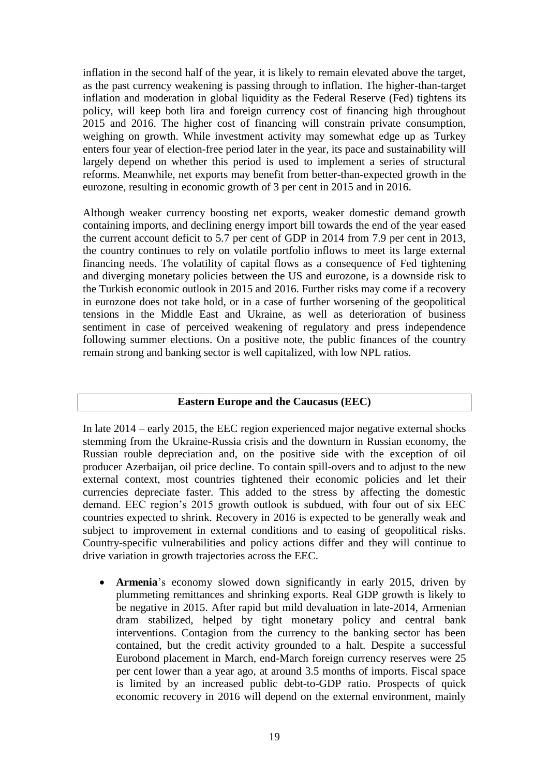inflation in the second half of the year, it is likely to remain elevated above the target, as the past currency weakening is passing through to inflation. The higher-than-target inflation and moderation in global liquidity as the Federal Reserve (Fed) tightens its policy, will keep both lira and foreign currency cost of financing high throughout 2015 and 2016. The higher cost of financing will constrain private consumption, weighing on growth. While investment activity may somewhat edge up as Turkey enters four year of election-free period later in the year, its pace and sustainability will largely depend on whether this period is used to implement a series of structural reforms. Meanwhile, net exports may benefit from better-than-expected growth in the eurozone, resulting in economic growth of 3 per cent in 2015 and in 2016.

Although weaker currency boosting net exports, weaker domestic demand growth containing imports, and declining energy import bill towards the end of the year eased the current account deficit to 5.7 per cent of GDP in 2014 from 7.9 per cent in 2013, the country continues to rely on volatile portfolio inflows to meet its large external financing needs. The volatility of capital flows as a consequence of Fed tightening and diverging monetary policies between the US and eurozone, is a downside risk to the Turkish economic outlook in 2015 and 2016. Further risks may come if a recovery in eurozone does not take hold, or in a case of further worsening of the geopolitical tensions in the Middle East and Ukraine, as well as deterioration of business sentiment in case of perceived weakening of regulatory and press independence following summer elections. On a positive note, the public finances of the country remain strong and banking sector is well capitalized, with low NPL ratios.

# **Eastern Europe and the Caucasus (EEC)**

In late 2014 – early 2015, the EEC region experienced major negative external shocks stemming from the Ukraine-Russia crisis and the downturn in Russian economy, the Russian rouble depreciation and, on the positive side with the exception of oil producer Azerbaijan, oil price decline. To contain spill-overs and to adjust to the new external context, most countries tightened their economic policies and let their currencies depreciate faster. This added to the stress by affecting the domestic demand. EEC region's 2015 growth outlook is subdued, with four out of six EEC countries expected to shrink. Recovery in 2016 is expected to be generally weak and subject to improvement in external conditions and to easing of geopolitical risks. Country-specific vulnerabilities and policy actions differ and they will continue to drive variation in growth trajectories across the EEC.

• **Armenia**'s economy slowed down significantly in early 2015, driven by plummeting remittances and shrinking exports. Real GDP growth is likely to be negative in 2015. After rapid but mild devaluation in late-2014, Armenian dram stabilized, helped by tight monetary policy and central bank interventions. Contagion from the currency to the banking sector has been contained, but the credit activity grounded to a halt. Despite a successful Eurobond placement in March, end-March foreign currency reserves were 25 per cent lower than a year ago, at around 3.5 months of imports. Fiscal space is limited by an increased public debt-to-GDP ratio. Prospects of quick economic recovery in 2016 will depend on the external environment, mainly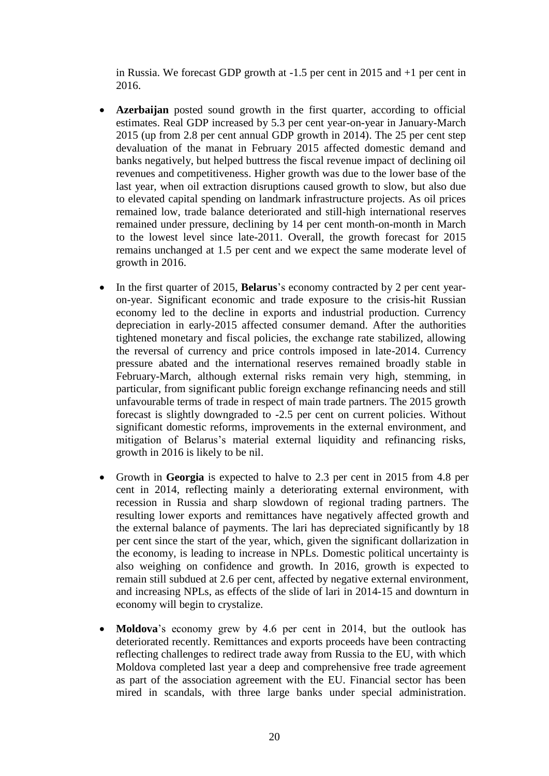in Russia. We forecast GDP growth at -1.5 per cent in 2015 and +1 per cent in 2016.

- **Azerbaijan** posted sound growth in the first quarter, according to official estimates. Real GDP increased by 5.3 per cent year-on-year in January-March 2015 (up from 2.8 per cent annual GDP growth in 2014). The 25 per cent step devaluation of the manat in February 2015 affected domestic demand and banks negatively, but helped buttress the fiscal revenue impact of declining oil revenues and competitiveness. Higher growth was due to the lower base of the last year, when oil extraction disruptions caused growth to slow, but also due to elevated capital spending on landmark infrastructure projects. As oil prices remained low, trade balance deteriorated and still-high international reserves remained under pressure, declining by 14 per cent month-on-month in March to the lowest level since late-2011. Overall, the growth forecast for 2015 remains unchanged at 1.5 per cent and we expect the same moderate level of growth in 2016.
- In the first quarter of 2015, **Belarus**'s economy contracted by 2 per cent yearon-year. Significant economic and trade exposure to the crisis-hit Russian economy led to the decline in exports and industrial production. Currency depreciation in early-2015 affected consumer demand. After the authorities tightened monetary and fiscal policies, the exchange rate stabilized, allowing the reversal of currency and price controls imposed in late-2014. Currency pressure abated and the international reserves remained broadly stable in February-March, although external risks remain very high, stemming, in particular, from significant public foreign exchange refinancing needs and still unfavourable terms of trade in respect of main trade partners. The 2015 growth forecast is slightly downgraded to -2.5 per cent on current policies. Without significant domestic reforms, improvements in the external environment, and mitigation of Belarus's material external liquidity and refinancing risks, growth in 2016 is likely to be nil.
- Growth in **Georgia** is expected to halve to 2.3 per cent in 2015 from 4.8 per cent in 2014, reflecting mainly a deteriorating external environment, with recession in Russia and sharp slowdown of regional trading partners. The resulting lower exports and remittances have negatively affected growth and the external balance of payments. The lari has depreciated significantly by 18 per cent since the start of the year, which, given the significant dollarization in the economy, is leading to increase in NPLs. Domestic political uncertainty is also weighing on confidence and growth. In 2016, growth is expected to remain still subdued at 2.6 per cent, affected by negative external environment, and increasing NPLs, as effects of the slide of lari in 2014-15 and downturn in economy will begin to crystalize.
- **Moldova**'s economy grew by 4.6 per cent in 2014, but the outlook has deteriorated recently. Remittances and exports proceeds have been contracting reflecting challenges to redirect trade away from Russia to the EU, with which Moldova completed last year a deep and comprehensive free trade agreement as part of the association agreement with the EU. Financial sector has been mired in scandals, with three large banks under special administration.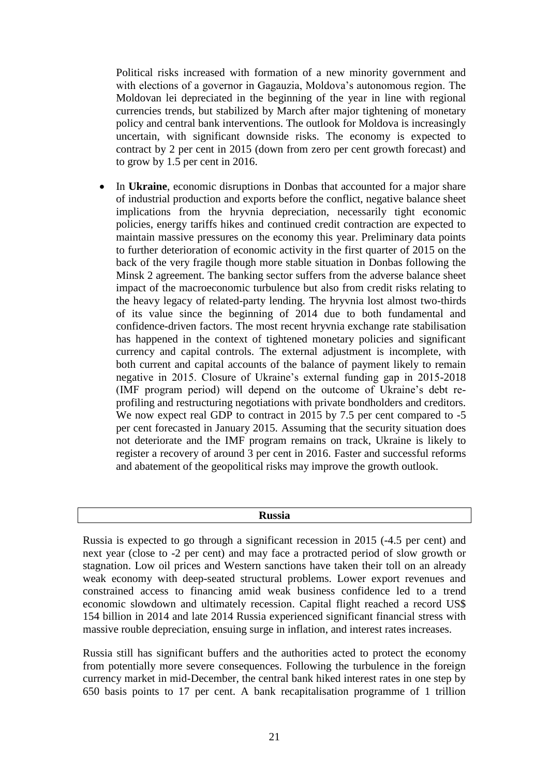Political risks increased with formation of a new minority government and with elections of a governor in Gagauzia, Moldova's autonomous region. The Moldovan lei depreciated in the beginning of the year in line with regional currencies trends, but stabilized by March after major tightening of monetary policy and central bank interventions. The outlook for Moldova is increasingly uncertain, with significant downside risks. The economy is expected to contract by 2 per cent in 2015 (down from zero per cent growth forecast) and to grow by 1.5 per cent in 2016.

 In **Ukraine**, economic disruptions in Donbas that accounted for a major share of industrial production and exports before the conflict, negative balance sheet implications from the hryvnia depreciation, necessarily tight economic policies, energy tariffs hikes and continued credit contraction are expected to maintain massive pressures on the economy this year. Preliminary data points to further deterioration of economic activity in the first quarter of 2015 on the back of the very fragile though more stable situation in Donbas following the Minsk 2 agreement. The banking sector suffers from the adverse balance sheet impact of the macroeconomic turbulence but also from credit risks relating to the heavy legacy of related-party lending. The hryvnia lost almost two-thirds of its value since the beginning of 2014 due to both fundamental and confidence-driven factors. The most recent hryvnia exchange rate stabilisation has happened in the context of tightened monetary policies and significant currency and capital controls. The external adjustment is incomplete, with both current and capital accounts of the balance of payment likely to remain negative in 2015. Closure of Ukraine's external funding gap in 2015-2018 (IMF program period) will depend on the outcome of Ukraine's debt reprofiling and restructuring negotiations with private bondholders and creditors. We now expect real GDP to contract in 2015 by 7.5 per cent compared to -5 per cent forecasted in January 2015. Assuming that the security situation does not deteriorate and the IMF program remains on track, Ukraine is likely to register a recovery of around 3 per cent in 2016. Faster and successful reforms and abatement of the geopolitical risks may improve the growth outlook.

#### **Russia**

Russia is expected to go through a significant recession in 2015 (-4.5 per cent) and next year (close to -2 per cent) and may face a protracted period of slow growth or stagnation. Low oil prices and Western sanctions have taken their toll on an already weak economy with deep-seated structural problems. Lower export revenues and constrained access to financing amid weak business confidence led to a trend economic slowdown and ultimately recession. Capital flight reached a record US\$ 154 billion in 2014 and late 2014 Russia experienced significant financial stress with massive rouble depreciation, ensuing surge in inflation, and interest rates increases.

Russia still has significant buffers and the authorities acted to protect the economy from potentially more severe consequences. Following the turbulence in the foreign currency market in mid-December, the central bank hiked interest rates in one step by 650 basis points to 17 per cent. A bank recapitalisation programme of 1 trillion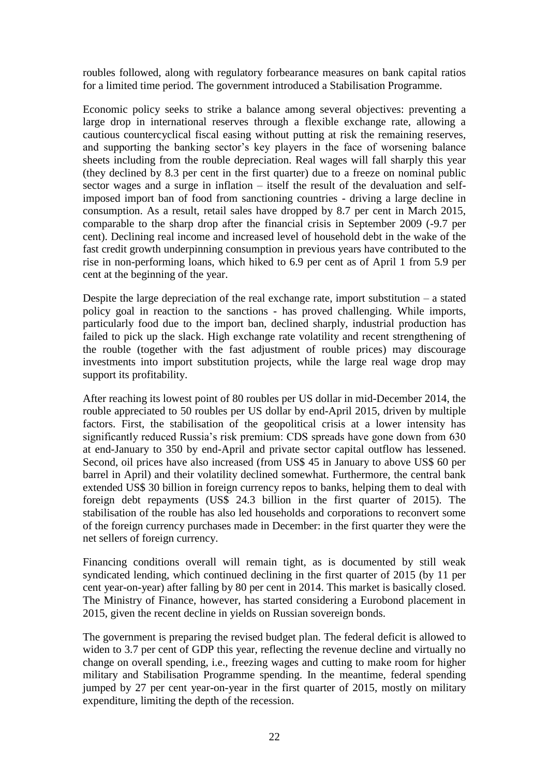roubles followed, along with regulatory forbearance measures on bank capital ratios for a limited time period. The government introduced a Stabilisation Programme.

Economic policy seeks to strike a balance among several objectives: preventing a large drop in international reserves through a flexible exchange rate, allowing a cautious countercyclical fiscal easing without putting at risk the remaining reserves, and supporting the banking sector's key players in the face of worsening balance sheets including from the rouble depreciation. Real wages will fall sharply this year (they declined by 8.3 per cent in the first quarter) due to a freeze on nominal public sector wages and a surge in inflation – itself the result of the devaluation and selfimposed import ban of food from sanctioning countries - driving a large decline in consumption. As a result, retail sales have dropped by 8.7 per cent in March 2015, comparable to the sharp drop after the financial crisis in September 2009 (-9.7 per cent). Declining real income and increased level of household debt in the wake of the fast credit growth underpinning consumption in previous years have contributed to the rise in non-performing loans, which hiked to 6.9 per cent as of April 1 from 5.9 per cent at the beginning of the year.

Despite the large depreciation of the real exchange rate, import substitution – a stated policy goal in reaction to the sanctions - has proved challenging. While imports, particularly food due to the import ban, declined sharply, industrial production has failed to pick up the slack. High exchange rate volatility and recent strengthening of the rouble (together with the fast adjustment of rouble prices) may discourage investments into import substitution projects, while the large real wage drop may support its profitability.

After reaching its lowest point of 80 roubles per US dollar in mid-December 2014, the rouble appreciated to 50 roubles per US dollar by end-April 2015, driven by multiple factors. First, the stabilisation of the geopolitical crisis at a lower intensity has significantly reduced Russia's risk premium: CDS spreads have gone down from 630 at end-January to 350 by end-April and private sector capital outflow has lessened. Second, oil prices have also increased (from US\$ 45 in January to above US\$ 60 per barrel in April) and their volatility declined somewhat. Furthermore, the central bank extended US\$ 30 billion in foreign currency repos to banks, helping them to deal with foreign debt repayments (US\$ 24.3 billion in the first quarter of 2015). The stabilisation of the rouble has also led households and corporations to reconvert some of the foreign currency purchases made in December: in the first quarter they were the net sellers of foreign currency.

Financing conditions overall will remain tight, as is documented by still weak syndicated lending, which continued declining in the first quarter of 2015 (by 11 per cent year-on-year) after falling by 80 per cent in 2014. This market is basically closed. The Ministry of Finance, however, has started considering a Eurobond placement in 2015, given the recent decline in yields on Russian sovereign bonds.

The government is preparing the revised budget plan. The federal deficit is allowed to widen to 3.7 per cent of GDP this year, reflecting the revenue decline and virtually no change on overall spending, i.e., freezing wages and cutting to make room for higher military and Stabilisation Programme spending. In the meantime, federal spending jumped by 27 per cent year-on-year in the first quarter of 2015, mostly on military expenditure, limiting the depth of the recession.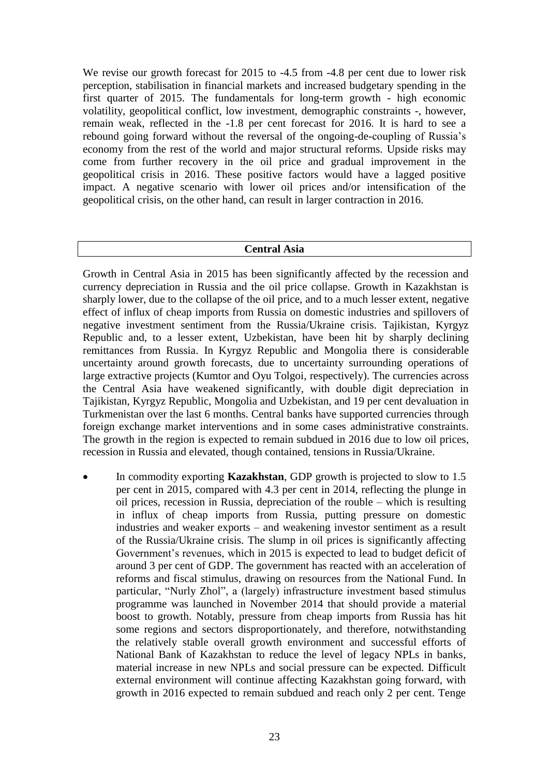We revise our growth forecast for 2015 to -4.5 from -4.8 per cent due to lower risk perception, stabilisation in financial markets and increased budgetary spending in the first quarter of 2015. The fundamentals for long-term growth - high economic volatility, geopolitical conflict, low investment, demographic constraints -, however, remain weak, reflected in the -1.8 per cent forecast for 2016. It is hard to see a rebound going forward without the reversal of the ongoing-de-coupling of Russia's economy from the rest of the world and major structural reforms. Upside risks may come from further recovery in the oil price and gradual improvement in the geopolitical crisis in 2016. These positive factors would have a lagged positive impact. A negative scenario with lower oil prices and/or intensification of the geopolitical crisis, on the other hand, can result in larger contraction in 2016.

#### **Central Asia**

Growth in Central Asia in 2015 has been significantly affected by the recession and currency depreciation in Russia and the oil price collapse. Growth in Kazakhstan is sharply lower, due to the collapse of the oil price, and to a much lesser extent, negative effect of influx of cheap imports from Russia on domestic industries and spillovers of negative investment sentiment from the Russia/Ukraine crisis. Tajikistan, Kyrgyz Republic and, to a lesser extent, Uzbekistan, have been hit by sharply declining remittances from Russia. In Kyrgyz Republic and Mongolia there is considerable uncertainty around growth forecasts, due to uncertainty surrounding operations of large extractive projects (Kumtor and Oyu Tolgoi, respectively). The currencies across the Central Asia have weakened significantly, with double digit depreciation in Tajikistan, Kyrgyz Republic, Mongolia and Uzbekistan, and 19 per cent devaluation in Turkmenistan over the last 6 months. Central banks have supported currencies through foreign exchange market interventions and in some cases administrative constraints. The growth in the region is expected to remain subdued in 2016 due to low oil prices, recession in Russia and elevated, though contained, tensions in Russia/Ukraine.

 In commodity exporting **Kazakhstan**, GDP growth is projected to slow to 1.5 per cent in 2015, compared with 4.3 per cent in 2014, reflecting the plunge in oil prices, recession in Russia, depreciation of the rouble – which is resulting in influx of cheap imports from Russia, putting pressure on domestic industries and weaker exports – and weakening investor sentiment as a result of the Russia/Ukraine crisis. The slump in oil prices is significantly affecting Government's revenues, which in 2015 is expected to lead to budget deficit of around 3 per cent of GDP. The government has reacted with an acceleration of reforms and fiscal stimulus, drawing on resources from the National Fund. In particular, "Nurly Zhol", a (largely) infrastructure investment based stimulus programme was launched in November 2014 that should provide a material boost to growth. Notably, pressure from cheap imports from Russia has hit some regions and sectors disproportionately, and therefore, notwithstanding the relatively stable overall growth environment and successful efforts of National Bank of Kazakhstan to reduce the level of legacy NPLs in banks, material increase in new NPLs and social pressure can be expected. Difficult external environment will continue affecting Kazakhstan going forward, with growth in 2016 expected to remain subdued and reach only 2 per cent. Tenge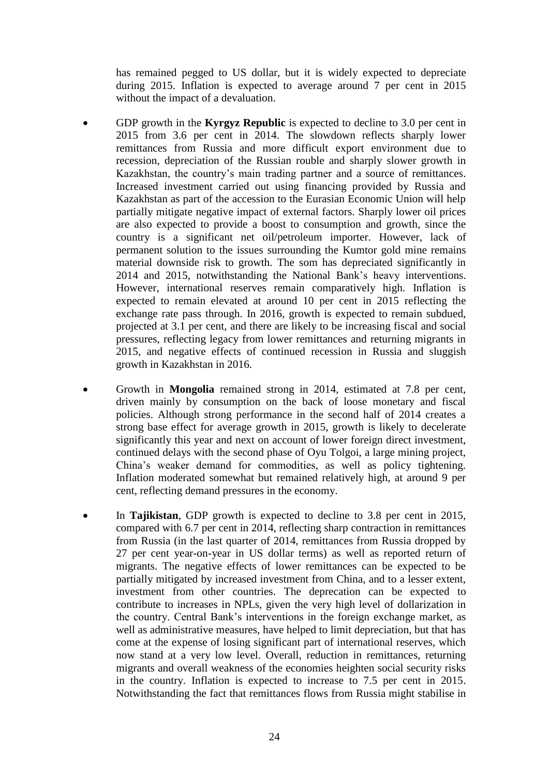has remained pegged to US dollar, but it is widely expected to depreciate during 2015. Inflation is expected to average around 7 per cent in 2015 without the impact of a devaluation.

- GDP growth in the **Kyrgyz Republic** is expected to decline to 3.0 per cent in 2015 from 3.6 per cent in 2014. The slowdown reflects sharply lower remittances from Russia and more difficult export environment due to recession, depreciation of the Russian rouble and sharply slower growth in Kazakhstan, the country's main trading partner and a source of remittances. Increased investment carried out using financing provided by Russia and Kazakhstan as part of the accession to the Eurasian Economic Union will help partially mitigate negative impact of external factors. Sharply lower oil prices are also expected to provide a boost to consumption and growth, since the country is a significant net oil/petroleum importer. However, lack of permanent solution to the issues surrounding the Kumtor gold mine remains material downside risk to growth. The som has depreciated significantly in 2014 and 2015, notwithstanding the National Bank's heavy interventions. However, international reserves remain comparatively high. Inflation is expected to remain elevated at around 10 per cent in 2015 reflecting the exchange rate pass through. In 2016, growth is expected to remain subdued, projected at 3.1 per cent, and there are likely to be increasing fiscal and social pressures, reflecting legacy from lower remittances and returning migrants in 2015, and negative effects of continued recession in Russia and sluggish growth in Kazakhstan in 2016.
- Growth in **Mongolia** remained strong in 2014, estimated at 7.8 per cent, driven mainly by consumption on the back of loose monetary and fiscal policies. Although strong performance in the second half of 2014 creates a strong base effect for average growth in 2015, growth is likely to decelerate significantly this year and next on account of lower foreign direct investment, continued delays with the second phase of Oyu Tolgoi, a large mining project, China's weaker demand for commodities, as well as policy tightening. Inflation moderated somewhat but remained relatively high, at around 9 per cent, reflecting demand pressures in the economy.
- In **Tajikistan**, GDP growth is expected to decline to 3.8 per cent in 2015, compared with 6.7 per cent in 2014, reflecting sharp contraction in remittances from Russia (in the last quarter of 2014, remittances from Russia dropped by 27 per cent year-on-year in US dollar terms) as well as reported return of migrants. The negative effects of lower remittances can be expected to be partially mitigated by increased investment from China, and to a lesser extent, investment from other countries. The deprecation can be expected to contribute to increases in NPLs, given the very high level of dollarization in the country. Central Bank's interventions in the foreign exchange market, as well as administrative measures, have helped to limit depreciation, but that has come at the expense of losing significant part of international reserves, which now stand at a very low level. Overall, reduction in remittances, returning migrants and overall weakness of the economies heighten social security risks in the country. Inflation is expected to increase to 7.5 per cent in 2015. Notwithstanding the fact that remittances flows from Russia might stabilise in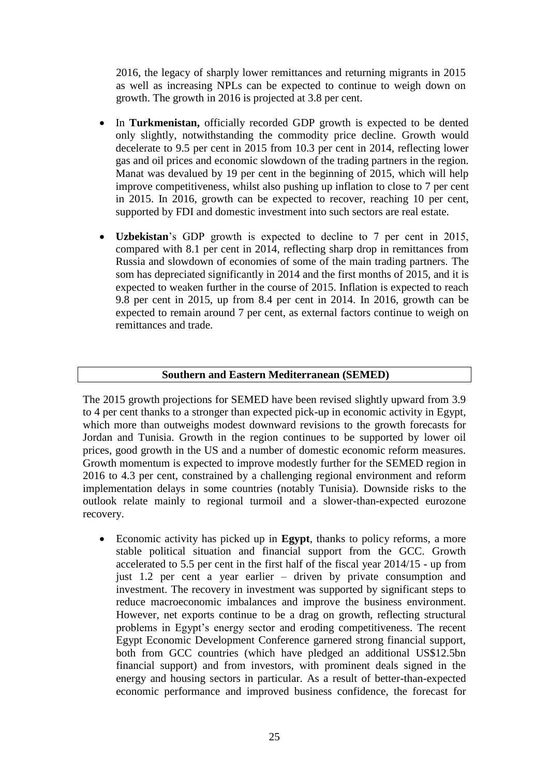2016, the legacy of sharply lower remittances and returning migrants in 2015 as well as increasing NPLs can be expected to continue to weigh down on growth. The growth in 2016 is projected at 3.8 per cent.

- In **Turkmenistan,** officially recorded GDP growth is expected to be dented only slightly, notwithstanding the commodity price decline. Growth would decelerate to 9.5 per cent in 2015 from 10.3 per cent in 2014, reflecting lower gas and oil prices and economic slowdown of the trading partners in the region. Manat was devalued by 19 per cent in the beginning of 2015, which will help improve competitiveness, whilst also pushing up inflation to close to 7 per cent in 2015. In 2016, growth can be expected to recover, reaching 10 per cent, supported by FDI and domestic investment into such sectors are real estate.
- **Uzbekistan**'s GDP growth is expected to decline to 7 per cent in 2015, compared with 8.1 per cent in 2014, reflecting sharp drop in remittances from Russia and slowdown of economies of some of the main trading partners. The som has depreciated significantly in 2014 and the first months of 2015, and it is expected to weaken further in the course of 2015. Inflation is expected to reach 9.8 per cent in 2015, up from 8.4 per cent in 2014. In 2016, growth can be expected to remain around 7 per cent, as external factors continue to weigh on remittances and trade.

#### **Southern and Eastern Mediterranean (SEMED)**

The 2015 growth projections for SEMED have been revised slightly upward from 3.9 to 4 per cent thanks to a stronger than expected pick-up in economic activity in Egypt, which more than outweighs modest downward revisions to the growth forecasts for Jordan and Tunisia. Growth in the region continues to be supported by lower oil prices, good growth in the US and a number of domestic economic reform measures. Growth momentum is expected to improve modestly further for the SEMED region in 2016 to 4.3 per cent, constrained by a challenging regional environment and reform implementation delays in some countries (notably Tunisia). Downside risks to the outlook relate mainly to regional turmoil and a slower-than-expected eurozone recovery.

 Economic activity has picked up in **Egypt**, thanks to policy reforms, a more stable political situation and financial support from the GCC. Growth accelerated to 5.5 per cent in the first half of the fiscal year 2014/15 - up from just 1.2 per cent a year earlier – driven by private consumption and investment. The recovery in investment was supported by significant steps to reduce macroeconomic imbalances and improve the business environment. However, net exports continue to be a drag on growth, reflecting structural problems in Egypt's energy sector and eroding competitiveness. The recent Egypt Economic Development Conference garnered strong financial support, both from GCC countries (which have pledged an additional US\$12.5bn financial support) and from investors, with prominent deals signed in the energy and housing sectors in particular. As a result of better-than-expected economic performance and improved business confidence, the forecast for